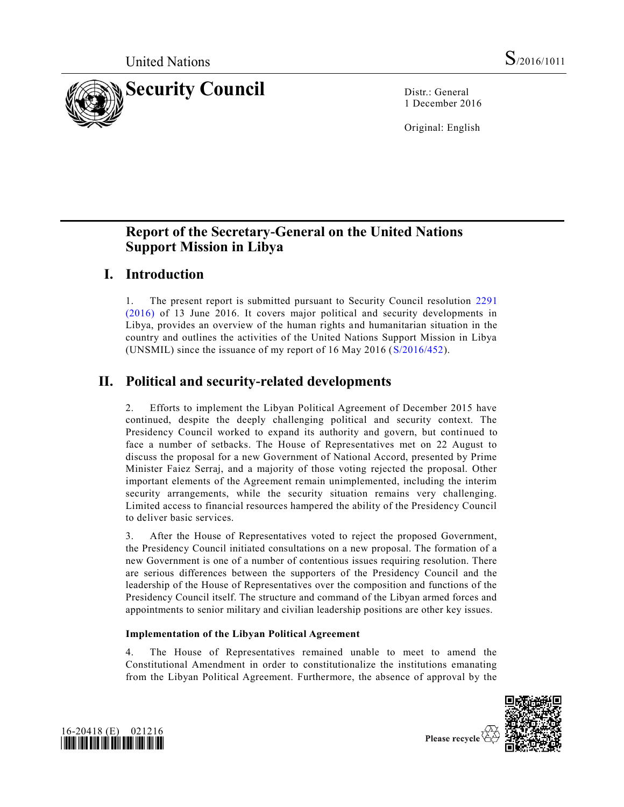

1 December 2016

Original: English

# **Report of the Secretary-General on the United Nations Support Mission in Libya**

# **I. Introduction**

1. The present report is submitted pursuant to Security Council resolution [2291](http://undocs.org/S/RES/2291(2016))  [\(2016\)](http://undocs.org/S/RES/2291(2016)) of 13 June 2016. It covers major political and security developments in Libya, provides an overview of the human rights and humanitarian situation in the country and outlines the activities of the United Nations Support Mission in Libya (UNSMIL) since the issuance of my report of 16 May 2016 [\(S/2016/452\)](http://undocs.org/S/2016/452).

# **II. Political and security-related developments**

2. Efforts to implement the Libyan Political Agreement of December 2015 have continued, despite the deeply challenging political and security context. The Presidency Council worked to expand its authority and govern, but continued to face a number of setbacks. The House of Representatives met on 22 August to discuss the proposal for a new Government of National Accord, presented by Prime Minister Faiez Serraj, and a majority of those voting rejected the proposal. Other important elements of the Agreement remain unimplemented, including the interim security arrangements, while the security situation remains very challenging. Limited access to financial resources hampered the ability of the Presidency Council to deliver basic services.

3. After the House of Representatives voted to reject the proposed Government, the Presidency Council initiated consultations on a new proposal. The formation of a new Government is one of a number of contentious issues requiring resolution. There are serious differences between the supporters of the Presidency Council and the leadership of the House of Representatives over the composition and functions of the Presidency Council itself. The structure and command of the Libyan armed forces and appointments to senior military and civilian leadership positions are other key issues.

## **Implementation of the Libyan Political Agreement**

4. The House of Representatives remained unable to meet to amend the Constitutional Amendment in order to constitutionalize the institutions emanating from the Libyan Political Agreement. Furthermore, the absence of approval by the



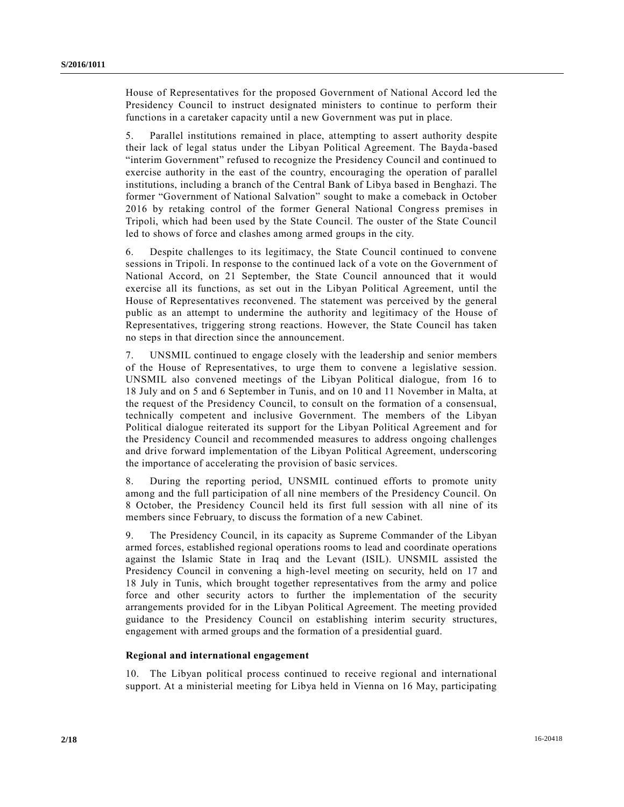House of Representatives for the proposed Government of National Accord led the Presidency Council to instruct designated ministers to continue to perform their functions in a caretaker capacity until a new Government was put in place.

5. Parallel institutions remained in place, attempting to assert authority despite their lack of legal status under the Libyan Political Agreement. The Bayda -based "interim Government" refused to recognize the Presidency Council and continued to exercise authority in the east of the country, encouraging the operation of parallel institutions, including a branch of the Central Bank of Libya based in Benghazi. The former "Government of National Salvation" sought to make a comeback in October 2016 by retaking control of the former General National Congress premises in Tripoli, which had been used by the State Council. The ouster of the State Council led to shows of force and clashes among armed groups in the city.

6. Despite challenges to its legitimacy, the State Council continued to convene sessions in Tripoli. In response to the continued lack of a vote on the Government of National Accord, on 21 September, the State Council announced that it would exercise all its functions, as set out in the Libyan Political Agreement, until the House of Representatives reconvened. The statement was perceived by the general public as an attempt to undermine the authority and legitimacy of the House of Representatives, triggering strong reactions. However, the State Council has taken no steps in that direction since the announcement.

7. UNSMIL continued to engage closely with the leadership and senior members of the House of Representatives, to urge them to convene a legislative session. UNSMIL also convened meetings of the Libyan Political dialogue, from 16 to 18 July and on 5 and 6 September in Tunis, and on 10 and 11 November in Malta, at the request of the Presidency Council, to consult on the formation of a consensual, technically competent and inclusive Government. The members of the Libyan Political dialogue reiterated its support for the Libyan Political Agreement and for the Presidency Council and recommended measures to address ongoing challenges and drive forward implementation of the Libyan Political Agreement, underscoring the importance of accelerating the provision of basic services.

8. During the reporting period, UNSMIL continued efforts to promote unity among and the full participation of all nine members of the Presidency Council. On 8 October, the Presidency Council held its first full session with all nine of its members since February, to discuss the formation of a new Cabinet.

9. The Presidency Council, in its capacity as Supreme Commander of the Libyan armed forces, established regional operations rooms to lead and coordinate operations against the Islamic State in Iraq and the Levant (ISIL). UNSMIL assisted the Presidency Council in convening a high-level meeting on security, held on 17 and 18 July in Tunis, which brought together representatives from the army and police force and other security actors to further the implementation of the security arrangements provided for in the Libyan Political Agreement. The meeting provided guidance to the Presidency Council on establishing interim security structures, engagement with armed groups and the formation of a presidential guard.

### **Regional and international engagement**

10. The Libyan political process continued to receive regional and international support. At a ministerial meeting for Libya held in Vienna on 16 May, participating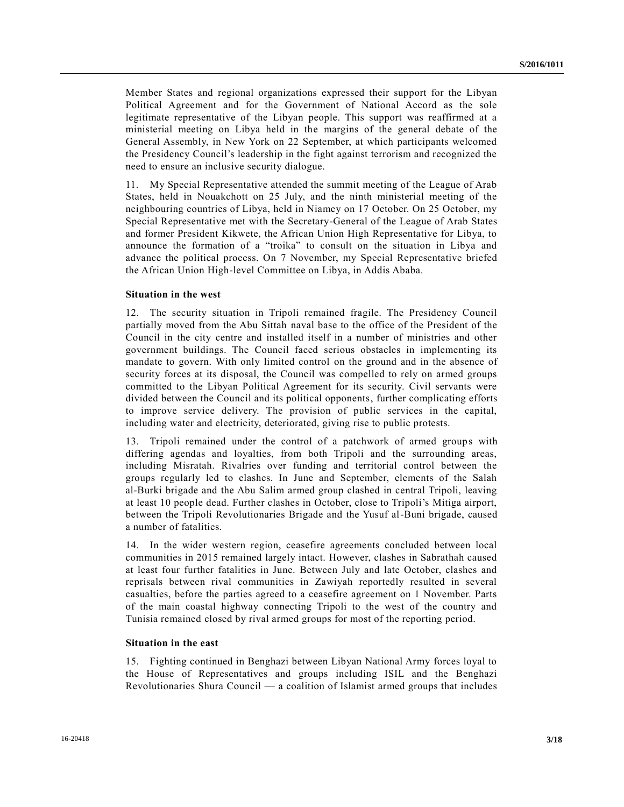Member States and regional organizations expressed their support for the Libyan Political Agreement and for the Government of National Accord as the sole legitimate representative of the Libyan people. This support was reaffirmed at a ministerial meeting on Libya held in the margins of the general debate of the General Assembly, in New York on 22 September, at which participants welcomed the Presidency Council's leadership in the fight against terrorism and recognized the need to ensure an inclusive security dialogue.

11. My Special Representative attended the summit meeting of the League of Arab States, held in Nouakchott on 25 July, and the ninth ministerial meeting of the neighbouring countries of Libya, held in Niamey on 17 October. On 25 October, my Special Representative met with the Secretary-General of the League of Arab States and former President Kikwete, the African Union High Representative for Libya, to announce the formation of a "troika" to consult on the situation in Libya and advance the political process. On 7 November, my Special Representative briefed the African Union High-level Committee on Libya, in Addis Ababa.

#### **Situation in the west**

12. The security situation in Tripoli remained fragile. The Presidency Council partially moved from the Abu Sittah naval base to the office of the President of the Council in the city centre and installed itself in a number of ministries and other government buildings. The Council faced serious obstacles in implementing its mandate to govern. With only limited control on the ground and in the absence of security forces at its disposal, the Council was compelled to rely on armed groups committed to the Libyan Political Agreement for its security. Civil servants were divided between the Council and its political opponents, further complicating efforts to improve service delivery. The provision of public services in the capital, including water and electricity, deteriorated, giving rise to public protests.

13. Tripoli remained under the control of a patchwork of armed groups with differing agendas and loyalties, from both Tripoli and the surrounding areas, including Misratah. Rivalries over funding and territorial control between the groups regularly led to clashes. In June and September, elements of the Salah al-Burki brigade and the Abu Salim armed group clashed in central Tripoli, leaving at least 10 people dead. Further clashes in October, close to Tripoli's Mitiga airport, between the Tripoli Revolutionaries Brigade and the Yusuf al-Buni brigade, caused a number of fatalities.

14. In the wider western region, ceasefire agreements concluded between local communities in 2015 remained largely intact. However, clashes in Sabrathah caused at least four further fatalities in June. Between July and late October, clashes and reprisals between rival communities in Zawiyah reportedly resulted in several casualties, before the parties agreed to a ceasefire agreement on 1 November. Parts of the main coastal highway connecting Tripoli to the west of the country and Tunisia remained closed by rival armed groups for most of the reporting period.

### **Situation in the east**

15. Fighting continued in Benghazi between Libyan National Army forces loyal to the House of Representatives and groups including ISIL and the Benghazi Revolutionaries Shura Council — a coalition of Islamist armed groups that includes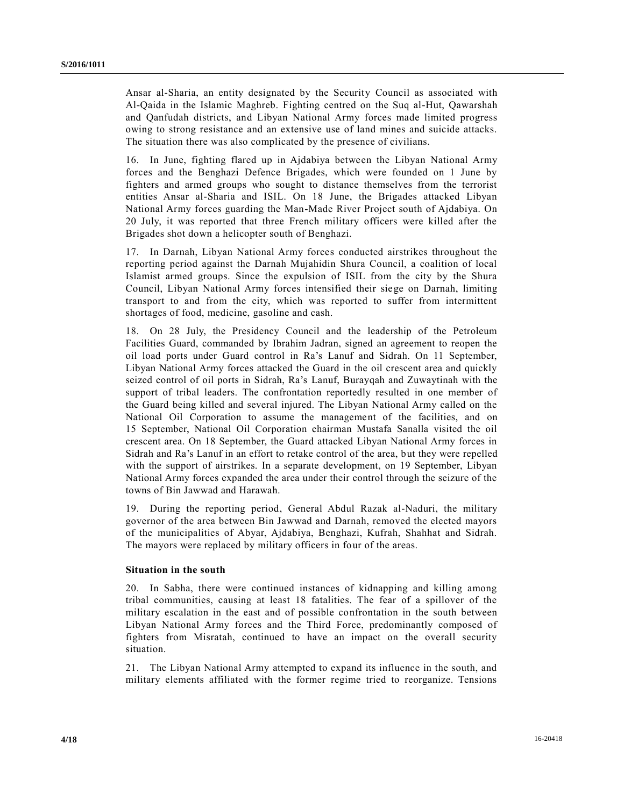Ansar al-Sharia, an entity designated by the Security Council as associated with Al-Qaida in the Islamic Maghreb. Fighting centred on the Suq al-Hut, Qawarshah and Qanfudah districts, and Libyan National Army forces made limited progress owing to strong resistance and an extensive use of land mines and suicide attacks. The situation there was also complicated by the presence of civilians.

16. In June, fighting flared up in Ajdabiya between the Libyan National Army forces and the Benghazi Defence Brigades, which were founded on 1 June by fighters and armed groups who sought to distance themselves from the terrorist entities Ansar al-Sharia and ISIL. On 18 June, the Brigades attacked Libyan National Army forces guarding the Man-Made River Project south of Ajdabiya. On 20 July, it was reported that three French military officers were killed after the Brigades shot down a helicopter south of Benghazi.

17. In Darnah, Libyan National Army forces conducted airstrikes throughout the reporting period against the Darnah Mujahidin Shura Council, a coalition of local Islamist armed groups. Since the expulsion of ISIL from the city by the Shura Council, Libyan National Army forces intensified their siege on Darnah, limiting transport to and from the city, which was reported to suffer from intermittent shortages of food, medicine, gasoline and cash.

18. On 28 July, the Presidency Council and the leadership of the Petroleum Facilities Guard, commanded by Ibrahim Jadran, signed an agreement to reopen the oil load ports under Guard control in Ra's Lanuf and Sidrah. On 11 September, Libyan National Army forces attacked the Guard in the oil crescent area and quickly seized control of oil ports in Sidrah, Ra's Lanuf, Burayqah and Zuwaytinah with the support of tribal leaders. The confrontation reportedly resulted in one member of the Guard being killed and several injured. The Libyan National Army called on the National Oil Corporation to assume the management of the facilities, and on 15 September, National Oil Corporation chairman Mustafa Sanalla visited the oil crescent area. On 18 September, the Guard attacked Libyan National Army forces in Sidrah and Ra's Lanuf in an effort to retake control of the area, but they were repelled with the support of airstrikes. In a separate development, on 19 September, Libyan National Army forces expanded the area under their control through the seizure of the towns of Bin Jawwad and Harawah.

19. During the reporting period, General Abdul Razak al-Naduri, the military governor of the area between Bin Jawwad and Darnah, removed the elected mayors of the municipalities of Abyar, Ajdabiya, Benghazi, Kufrah, Shahhat and Sidrah. The mayors were replaced by military officers in four of the areas.

### **Situation in the south**

20. In Sabha, there were continued instances of kidnapping and killing among tribal communities, causing at least 18 fatalities. The fear of a spillover of the military escalation in the east and of possible confrontation in the south between Libyan National Army forces and the Third Force, predominantly composed of fighters from Misratah, continued to have an impact on the overall security situation.

21. The Libyan National Army attempted to expand its influence in the south, and military elements affiliated with the former regime tried to reorganize. Tensions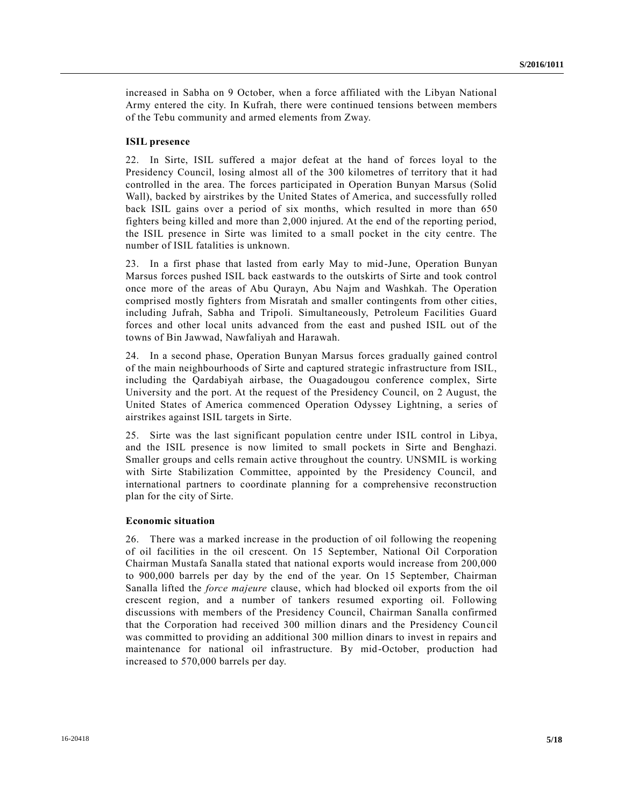increased in Sabha on 9 October, when a force affiliated with the Libyan National Army entered the city. In Kufrah, there were continued tensions between members of the Tebu community and armed elements from Zway.

#### **ISIL presence**

22. In Sirte, ISIL suffered a major defeat at the hand of forces loyal to the Presidency Council, losing almost all of the 300 kilometres of territory that it had controlled in the area. The forces participated in Operation Bunyan Marsus (Solid Wall), backed by airstrikes by the United States of America, and successfully rolled back ISIL gains over a period of six months, which resulted in more than 650 fighters being killed and more than 2,000 injured. At the end of the reporting period, the ISIL presence in Sirte was limited to a small pocket in the city centre. The number of ISIL fatalities is unknown.

23. In a first phase that lasted from early May to mid-June, Operation Bunyan Marsus forces pushed ISIL back eastwards to the outskirts of Sirte and took control once more of the areas of Abu Qurayn, Abu Najm and Washkah. The Operation comprised mostly fighters from Misratah and smaller contingents from other cities, including Jufrah, Sabha and Tripoli. Simultaneously, Petroleum Facilities Guard forces and other local units advanced from the east and pushed ISIL out of the towns of Bin Jawwad, Nawfaliyah and Harawah.

24. In a second phase, Operation Bunyan Marsus forces gradually gained control of the main neighbourhoods of Sirte and captured strategic infrastructure from ISIL, including the Qardabiyah airbase, the Ouagadougou conference complex, Sirte University and the port. At the request of the Presidency Council, on 2 August, the United States of America commenced Operation Odyssey Lightning, a series of airstrikes against ISIL targets in Sirte.

25. Sirte was the last significant population centre under ISIL control in Libya, and the ISIL presence is now limited to small pockets in Sirte and Benghazi. Smaller groups and cells remain active throughout the country. UNSMIL is working with Sirte Stabilization Committee, appointed by the Presidency Council, and international partners to coordinate planning for a comprehensive reconstruction plan for the city of Sirte.

#### **Economic situation**

26. There was a marked increase in the production of oil following the reopening of oil facilities in the oil crescent. On 15 September, National Oil Corporation Chairman Mustafa Sanalla stated that national exports would increase from 200,000 to 900,000 barrels per day by the end of the year. On 15 September, Chairman Sanalla lifted the *force majeure* clause, which had blocked oil exports from the oil crescent region, and a number of tankers resumed exporting oil. Following discussions with members of the Presidency Council, Chairman Sanalla confirmed that the Corporation had received 300 million dinars and the Presidency Council was committed to providing an additional 300 million dinars to invest in repairs and maintenance for national oil infrastructure. By mid-October, production had increased to 570,000 barrels per day.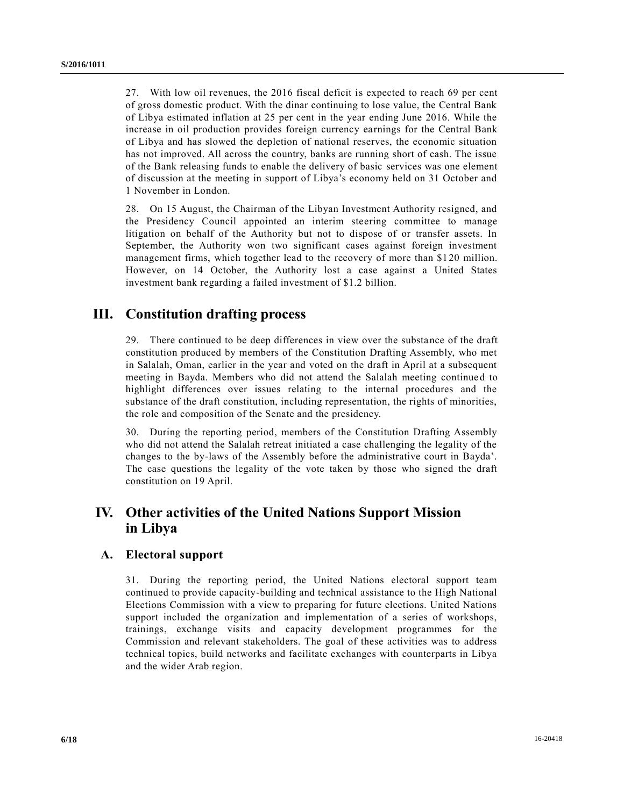27. With low oil revenues, the 2016 fiscal deficit is expected to reach 69 per cent of gross domestic product. With the dinar continuing to lose value, the Central Bank of Libya estimated inflation at 25 per cent in the year ending June 2016. While the increase in oil production provides foreign currency earnings for the Central Bank of Libya and has slowed the depletion of national reserves, the economic situation has not improved. All across the country, banks are running short of cash. The issue of the Bank releasing funds to enable the delivery of basic services was one element of discussion at the meeting in support of Libya's economy held on 31 October and 1 November in London.

28. On 15 August, the Chairman of the Libyan Investment Authority resigned, and the Presidency Council appointed an interim steering committee to manage litigation on behalf of the Authority but not to dispose of or transfer assets. In September, the Authority won two significant cases against foreign investment management firms, which together lead to the recovery of more than \$1 20 million. However, on 14 October, the Authority lost a case against a United States investment bank regarding a failed investment of \$1.2 billion.

# **III. Constitution drafting process**

29. There continued to be deep differences in view over the substance of the draft constitution produced by members of the Constitution Drafting Assembly, who met in Salalah, Oman, earlier in the year and voted on the draft in April at a subsequent meeting in Bayda. Members who did not attend the Salalah meeting continued to highlight differences over issues relating to the internal procedures and the substance of the draft constitution, including representation, the rights of minorities, the role and composition of the Senate and the presidency.

30. During the reporting period, members of the Constitution Drafting Assembly who did not attend the Salalah retreat initiated a case challenging the legality of the changes to the by-laws of the Assembly before the administrative court in Bayda'. The case questions the legality of the vote taken by those who signed the draft constitution on 19 April.

# **IV. Other activities of the United Nations Support Mission in Libya**

## **A. Electoral support**

31. During the reporting period, the United Nations electoral support team continued to provide capacity-building and technical assistance to the High National Elections Commission with a view to preparing for future elections. United Nations support included the organization and implementation of a series of workshops, trainings, exchange visits and capacity development programmes for the Commission and relevant stakeholders. The goal of these activities was to address technical topics, build networks and facilitate exchanges with counterparts in Libya and the wider Arab region.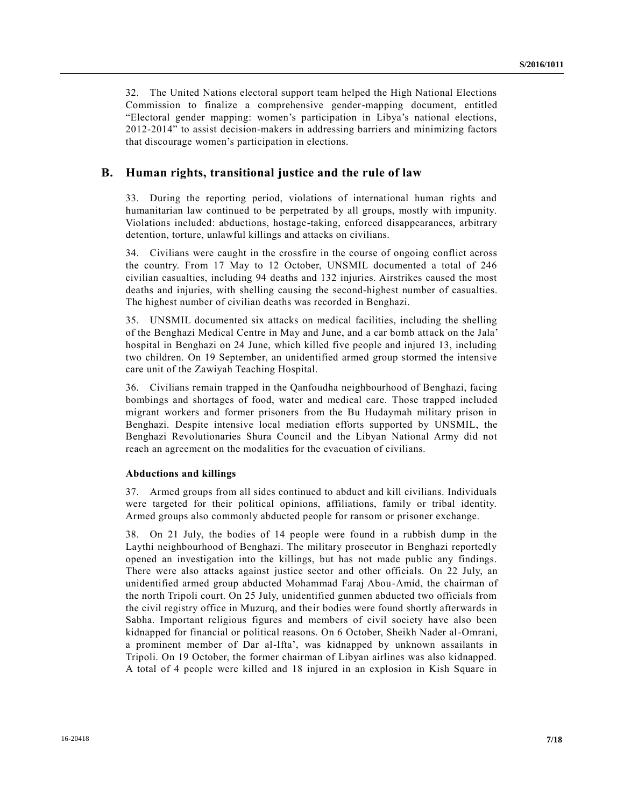32. The United Nations electoral support team helped the High National Elections Commission to finalize a comprehensive gender-mapping document, entitled "Electoral gender mapping: women's participation in Libya's national elections, 2012-2014" to assist decision-makers in addressing barriers and minimizing factors that discourage women's participation in elections.

## **B. Human rights, transitional justice and the rule of law**

33. During the reporting period, violations of international human rights and humanitarian law continued to be perpetrated by all groups, mostly with impunity. Violations included: abductions, hostage-taking, enforced disappearances, arbitrary detention, torture, unlawful killings and attacks on civilians.

34. Civilians were caught in the crossfire in the course of ongoing conflict across the country. From 17 May to 12 October, UNSMIL documented a total of 246 civilian casualties, including 94 deaths and 132 injuries. Airstrikes caused the most deaths and injuries, with shelling causing the second-highest number of casualties. The highest number of civilian deaths was recorded in Benghazi.

35. UNSMIL documented six attacks on medical facilities, including the shelling of the Benghazi Medical Centre in May and June, and a car bomb attack on the Jala' hospital in Benghazi on 24 June, which killed five people and injured 13, including two children. On 19 September, an unidentified armed group stormed the intensive care unit of the Zawiyah Teaching Hospital.

36. Civilians remain trapped in the Qanfoudha neighbourhood of Benghazi, facing bombings and shortages of food, water and medical care. Those trapped included migrant workers and former prisoners from the Bu Hudaymah military prison in Benghazi. Despite intensive local mediation efforts supported by UNSMIL, the Benghazi Revolutionaries Shura Council and the Libyan National Army did not reach an agreement on the modalities for the evacuation of civilians.

#### **Abductions and killings**

37. Armed groups from all sides continued to abduct and kill civilians. Individuals were targeted for their political opinions, affiliations, family or tribal identity. Armed groups also commonly abducted people for ransom or prisoner exchange.

38. On 21 July, the bodies of 14 people were found in a rubbish dump in the Laythi neighbourhood of Benghazi. The military prosecutor in Benghazi reportedly opened an investigation into the killings, but has not made public any findings. There were also attacks against justice sector and other officials. On 22 July, an unidentified armed group abducted Mohammad Faraj Abou-Amid, the chairman of the north Tripoli court. On 25 July, unidentified gunmen abducted two officials from the civil registry office in Muzurq, and their bodies were found shortly afterwards in Sabha. Important religious figures and members of civil society have also been kidnapped for financial or political reasons. On 6 October, Sheikh Nader al-Omrani, a prominent member of Dar al-Ifta', was kidnapped by unknown assailants in Tripoli. On 19 October, the former chairman of Libyan airlines was also kidnapped. A total of 4 people were killed and 18 injured in an explosion in Kish Square in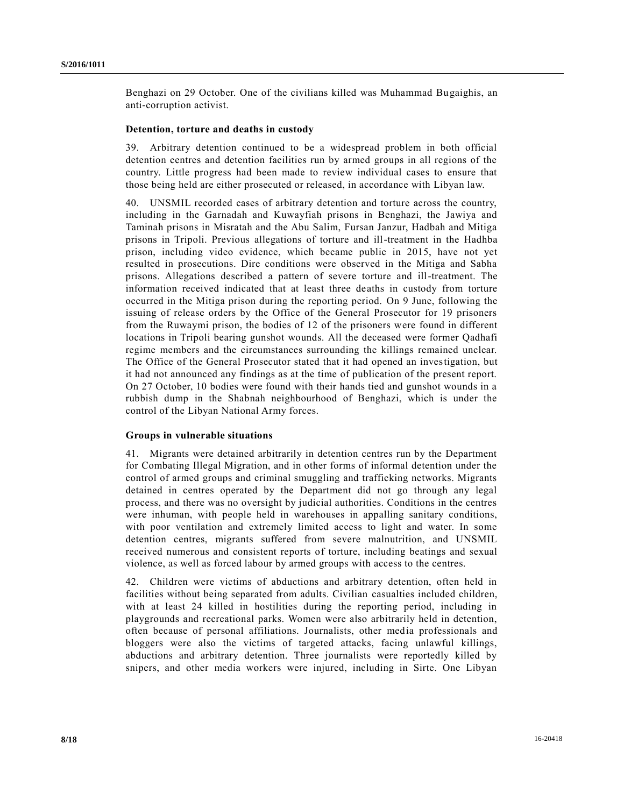Benghazi on 29 October. One of the civilians killed was Muhammad Bugaighis, an anti-corruption activist.

#### **Detention, torture and deaths in custody**

39. Arbitrary detention continued to be a widespread problem in both official detention centres and detention facilities run by armed groups in all regions of the country. Little progress had been made to review individual cases to ensure that those being held are either prosecuted or released, in accordance with Libyan law.

40. UNSMIL recorded cases of arbitrary detention and torture across the country, including in the Garnadah and Kuwayfiah prisons in Benghazi, the Jawiya and Taminah prisons in Misratah and the Abu Salim, Fursan Janzur, Hadbah and Mitiga prisons in Tripoli. Previous allegations of torture and ill-treatment in the Hadhba prison, including video evidence, which became public in 2015, have not yet resulted in prosecutions. Dire conditions were observed in the Mitiga and Sabha prisons. Allegations described a pattern of severe torture and ill-treatment. The information received indicated that at least three deaths in custody from torture occurred in the Mitiga prison during the reporting period. On 9 June, following the issuing of release orders by the Office of the General Prosecutor for 19 prisoners from the Ruwaymi prison, the bodies of 12 of the prisoners were found in different locations in Tripoli bearing gunshot wounds. All the deceased were former Qadhafi regime members and the circumstances surrounding the killings remained unclear. The Office of the General Prosecutor stated that it had opened an investigation, but it had not announced any findings as at the time of publication of the present report. On 27 October, 10 bodies were found with their hands tied and gunshot wounds in a rubbish dump in the Shabnah neighbourhood of Benghazi, which is under the control of the Libyan National Army forces.

#### **Groups in vulnerable situations**

41. Migrants were detained arbitrarily in detention centres run by the Department for Combating Illegal Migration, and in other forms of informal detention under the control of armed groups and criminal smuggling and trafficking networks. Migrants detained in centres operated by the Department did not go through any legal process, and there was no oversight by judicial authorities. Conditions in the centres were inhuman, with people held in warehouses in appalling sanitary conditions, with poor ventilation and extremely limited access to light and water. In some detention centres, migrants suffered from severe malnutrition, and UNSMIL received numerous and consistent reports of torture, including beatings and sexual violence, as well as forced labour by armed groups with access to the centres.

42. Children were victims of abductions and arbitrary detention, often held in facilities without being separated from adults. Civilian casualties included children, with at least 24 killed in hostilities during the reporting period, including in playgrounds and recreational parks. Women were also arbitrarily held in detention, often because of personal affiliations. Journalists, other media professionals and bloggers were also the victims of targeted attacks, facing unlawful killings, abductions and arbitrary detention. Three journalists were reportedly killed by snipers, and other media workers were injured, including in Sirte. One Libyan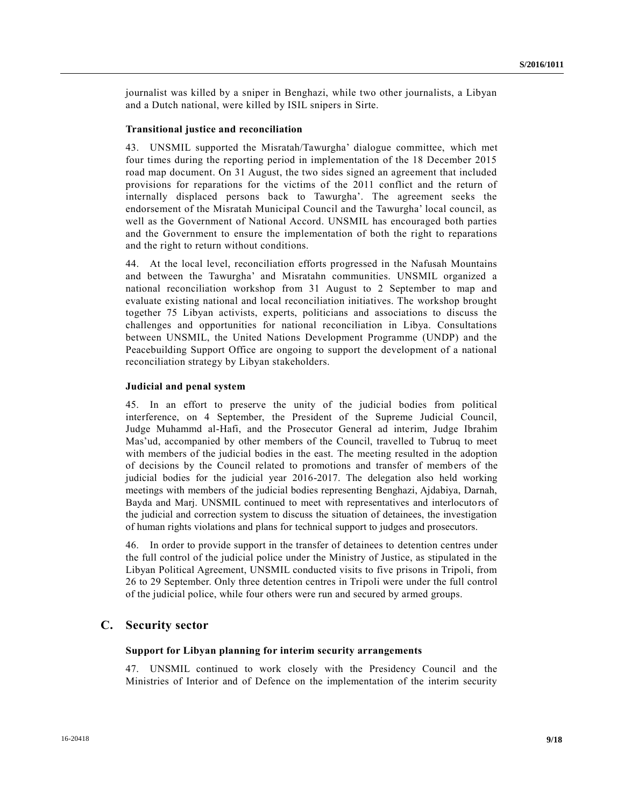journalist was killed by a sniper in Benghazi, while two other journalists, a Libyan and a Dutch national, were killed by ISIL snipers in Sirte.

#### **Transitional justice and reconciliation**

43. UNSMIL supported the Misratah/Tawurgha' dialogue committee, which met four times during the reporting period in implementation of the 18 December 2015 road map document. On 31 August, the two sides signed an agreement that included provisions for reparations for the victims of the 2011 conflict and the return of internally displaced persons back to Tawurgha'. The agreement seeks the endorsement of the Misratah Municipal Council and the Tawurgha' local council, as well as the Government of National Accord. UNSMIL has encouraged both parties and the Government to ensure the implementation of both the right to reparations and the right to return without conditions.

44. At the local level, reconciliation efforts progressed in the Nafusah Mountains and between the Tawurgha' and Misratahn communities. UNSMIL organized a national reconciliation workshop from 31 August to 2 September to map and evaluate existing national and local reconciliation initiatives. The workshop brought together 75 Libyan activists, experts, politicians and associations to discuss the challenges and opportunities for national reconciliation in Libya. Consultations between UNSMIL, the United Nations Development Programme (UNDP) and the Peacebuilding Support Office are ongoing to support the development of a national reconciliation strategy by Libyan stakeholders.

#### **Judicial and penal system**

45. In an effort to preserve the unity of the judicial bodies from political interference, on 4 September, the President of the Supreme Judicial Council, Judge Muhammd al-Hafi, and the Prosecutor General ad interim, Judge Ibrahim Mas'ud, accompanied by other members of the Council, travelled to Tubruq to meet with members of the judicial bodies in the east. The meeting resulted in the adoption of decisions by the Council related to promotions and transfer of members of the judicial bodies for the judicial year 2016-2017. The delegation also held working meetings with members of the judicial bodies representing Benghazi, Ajdabiya, Darnah, Bayda and Marj. UNSMIL continued to meet with representatives and interlocutors of the judicial and correction system to discuss the situation of detainees, the investigation of human rights violations and plans for technical support to judges and prosecutors.

46. In order to provide support in the transfer of detainees to detention centres under the full control of the judicial police under the Ministry of Justice, as stipulated in the Libyan Political Agreement, UNSMIL conducted visits to five prisons in Tripoli, from 26 to 29 September. Only three detention centres in Tripoli were under the full control of the judicial police, while four others were run and secured by armed groups.

### **C. Security sector**

#### **Support for Libyan planning for interim security arrangements**

47. UNSMIL continued to work closely with the Presidency Council and the Ministries of Interior and of Defence on the implementation of the interim security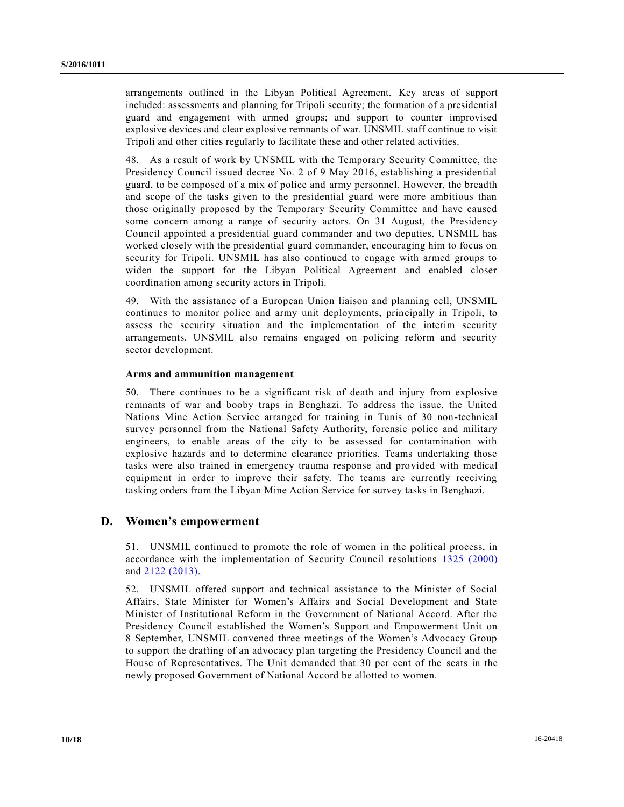arrangements outlined in the Libyan Political Agreement. Key areas of support included: assessments and planning for Tripoli security; the formation of a presidential guard and engagement with armed groups; and support to counter improvised explosive devices and clear explosive remnants of war. UNSMIL staff continue to visit Tripoli and other cities regularly to facilitate these and other related activities.

48. As a result of work by UNSMIL with the Temporary Security Committee, the Presidency Council issued decree No. 2 of 9 May 2016, establishing a presidential guard, to be composed of a mix of police and army personnel. However, the breadth and scope of the tasks given to the presidential guard were more ambitious than those originally proposed by the Temporary Security Committee and have caused some concern among a range of security actors. On 31 August, the Presidency Council appointed a presidential guard commander and two deputies. UNSMIL has worked closely with the presidential guard commander, encouraging him to focus on security for Tripoli. UNSMIL has also continued to engage with armed groups to widen the support for the Libyan Political Agreement and enabled closer coordination among security actors in Tripoli.

49. With the assistance of a European Union liaison and planning cell, UNSMIL continues to monitor police and army unit deployments, principally in Tripoli, to assess the security situation and the implementation of the interim security arrangements. UNSMIL also remains engaged on policing reform and security sector development.

### **Arms and ammunition management**

50. There continues to be a significant risk of death and injury from explosive remnants of war and booby traps in Benghazi. To address the issue, the United Nations Mine Action Service arranged for training in Tunis of 30 non-technical survey personnel from the National Safety Authority, forensic police and military engineers, to enable areas of the city to be assessed for contamination with explosive hazards and to determine clearance priorities. Teams undertaking those tasks were also trained in emergency trauma response and provided with medical equipment in order to improve their safety. The teams are currently receiving tasking orders from the Libyan Mine Action Service for survey tasks in Benghazi.

### **D. Women's empowerment**

51. UNSMIL continued to promote the role of women in the political process, in accordance with the implementation of Security Council resolutions [1325 \(2000\)](http://undocs.org/S/RES/1325(2000)) and [2122 \(2013\).](http://undocs.org/S/RES/2122(2013))

52. UNSMIL offered support and technical assistance to the Minister of Social Affairs, State Minister for Women's Affairs and Social Development and State Minister of Institutional Reform in the Government of National Accord. After the Presidency Council established the Women's Support and Empowerment Unit on 8 September, UNSMIL convened three meetings of the Women's Advocacy Group to support the drafting of an advocacy plan targeting the Presidency Council and the House of Representatives. The Unit demanded that 30 per cent of the seats in the newly proposed Government of National Accord be allotted to women.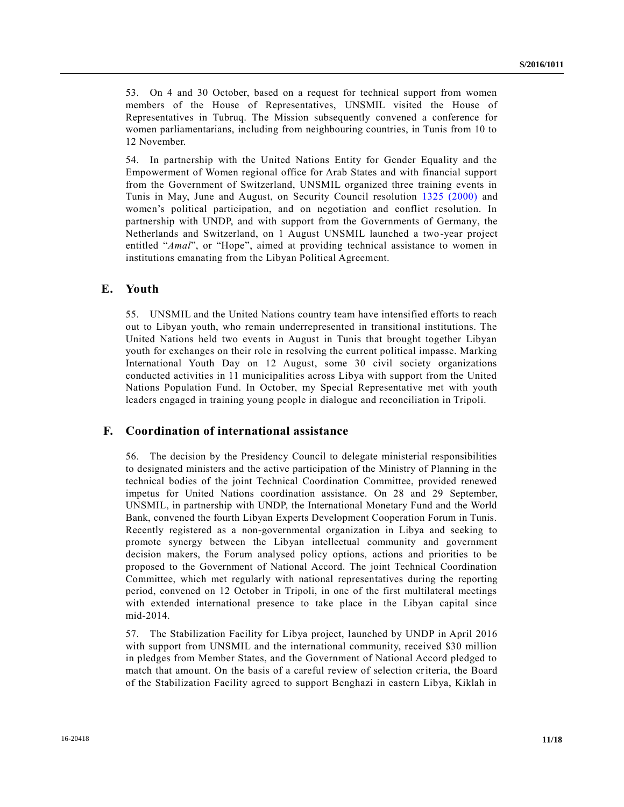53. On 4 and 30 October, based on a request for technical support from women members of the House of Representatives, UNSMIL visited the House of Representatives in Tubruq. The Mission subsequently convened a conference for women parliamentarians, including from neighbouring countries, in Tunis from 10 to 12 November.

54. In partnership with the United Nations Entity for Gender Equality and the Empowerment of Women regional office for Arab States and with financial support from the Government of Switzerland, UNSMIL organized three training events in Tunis in May, June and August, on Security Council resolution [1325 \(2000\)](http://undocs.org/S/RES/1325(2000)) and women's political participation, and on negotiation and conflict resolution. In partnership with UNDP, and with support from the Governments of Germany, the Netherlands and Switzerland, on 1 August UNSMIL launched a two-year project entitled "*Amal*", or "Hope", aimed at providing technical assistance to women in institutions emanating from the Libyan Political Agreement.

## **E. Youth**

55. UNSMIL and the United Nations country team have intensified efforts to reach out to Libyan youth, who remain underrepresented in transitional institutions. The United Nations held two events in August in Tunis that brought together Libyan youth for exchanges on their role in resolving the current political impasse. Marking International Youth Day on 12 August, some 30 civil society organizations conducted activities in 11 municipalities across Libya with support from the United Nations Population Fund. In October, my Special Representative met with youth leaders engaged in training young people in dialogue and reconciliation in Tripoli.

## **F. Coordination of international assistance**

56. The decision by the Presidency Council to delegate ministerial responsibilities to designated ministers and the active participation of the Ministry of Planning in the technical bodies of the joint Technical Coordination Committee, provided renewed impetus for United Nations coordination assistance. On 28 and 29 September, UNSMIL, in partnership with UNDP, the International Monetary Fund and the World Bank, convened the fourth Libyan Experts Development Cooperation Forum in Tunis. Recently registered as a non-governmental organization in Libya and seeking to promote synergy between the Libyan intellectual community and government decision makers, the Forum analysed policy options, actions and priorities to be proposed to the Government of National Accord. The joint Technical Coordination Committee, which met regularly with national representatives during the reporting period, convened on 12 October in Tripoli, in one of the first multilateral meetings with extended international presence to take place in the Libyan capital since mid-2014.

57. The Stabilization Facility for Libya project, launched by UNDP in April 2016 with support from UNSMIL and the international community, received \$30 million in pledges from Member States, and the Government of National Accord pledged to match that amount. On the basis of a careful review of selection criteria, the Board of the Stabilization Facility agreed to support Benghazi in eastern Libya, Kiklah in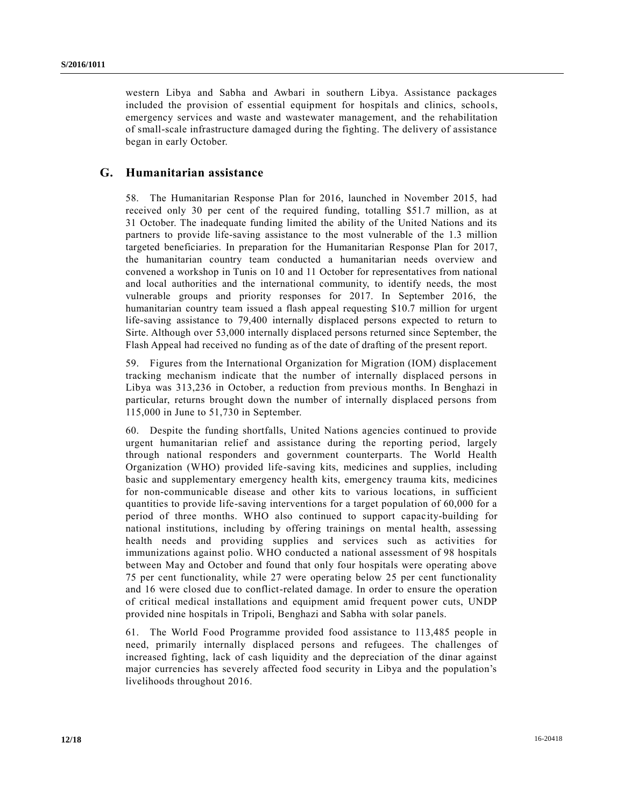western Libya and Sabha and Awbari in southern Libya. Assistance packages included the provision of essential equipment for hospitals and clinics, schools, emergency services and waste and wastewater management, and the rehabilitation of small-scale infrastructure damaged during the fighting. The delivery of assistance began in early October.

### **G. Humanitarian assistance**

58. The Humanitarian Response Plan for 2016, launched in November 2015, had received only 30 per cent of the required funding, totalling \$51.7 million, as at 31 October. The inadequate funding limited the ability of the United Nations and its partners to provide life-saving assistance to the most vulnerable of the 1.3 million targeted beneficiaries. In preparation for the Humanitarian Response Plan for 2017, the humanitarian country team conducted a humanitarian needs overview and convened a workshop in Tunis on 10 and 11 October for representatives from national and local authorities and the international community, to identify needs, the most vulnerable groups and priority responses for 2017. In September 2016, the humanitarian country team issued a flash appeal requesting \$10.7 million for urgent life-saving assistance to 79,400 internally displaced persons expected to return to Sirte. Although over 53,000 internally displaced persons returned since September, the Flash Appeal had received no funding as of the date of drafting of the present report.

59. Figures from the International Organization for Migration (IOM) displacement tracking mechanism indicate that the number of internally displaced persons in Libya was 313,236 in October, a reduction from previous months. In Benghazi in particular, returns brought down the number of internally displaced persons from 115,000 in June to 51,730 in September.

60. Despite the funding shortfalls, United Nations agencies continued to provide urgent humanitarian relief and assistance during the reporting period, largely through national responders and government counterparts. The World Health Organization (WHO) provided life-saving kits, medicines and supplies, including basic and supplementary emergency health kits, emergency trauma kits, medicines for non-communicable disease and other kits to various locations, in sufficient quantities to provide life-saving interventions for a target population of 60,000 for a period of three months. WHO also continued to support capacity-building for national institutions, including by offering trainings on mental health, assessing health needs and providing supplies and services such as activities for immunizations against polio. WHO conducted a national assessment of 98 hospitals between May and October and found that only four hospitals were operating above 75 per cent functionality, while 27 were operating below 25 per cent functionality and 16 were closed due to conflict-related damage. In order to ensure the operation of critical medical installations and equipment amid frequent power cuts, UNDP provided nine hospitals in Tripoli, Benghazi and Sabha with solar panels.

61. The World Food Programme provided food assistance to 113,485 people in need, primarily internally displaced persons and refugees. The challenges of increased fighting, lack of cash liquidity and the depreciation of the dinar against major currencies has severely affected food security in Libya and the population's livelihoods throughout 2016.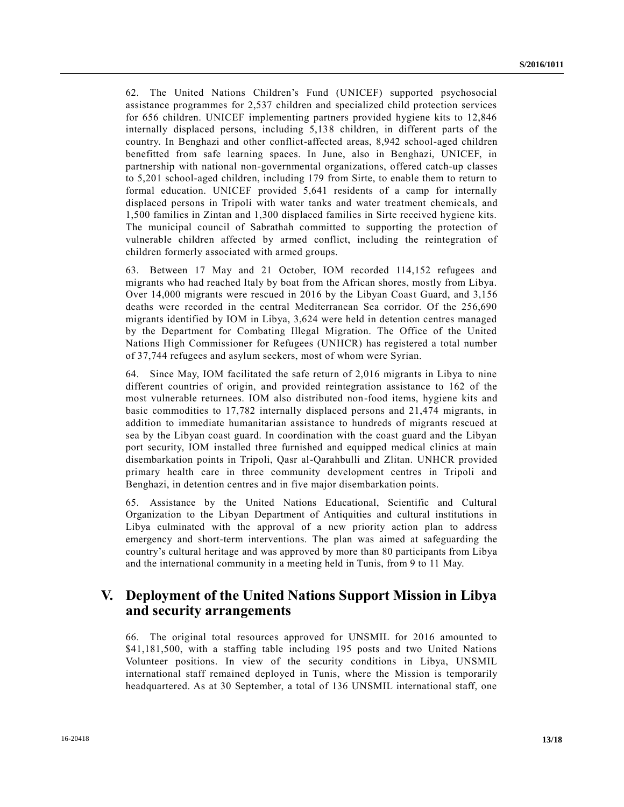62. The United Nations Children's Fund (UNICEF) supported psychosocial assistance programmes for 2,537 children and specialized child protection services for 656 children. UNICEF implementing partners provided hygiene kits to 12,846 internally displaced persons, including 5,138 children, in different parts of the country. In Benghazi and other conflict-affected areas, 8,942 school-aged children benefitted from safe learning spaces. In June, also in Benghazi, UNICEF, in partnership with national non-governmental organizations, offered catch-up classes to 5,201 school-aged children, including 179 from Sirte, to enable them to return to formal education. UNICEF provided 5,641 residents of a camp for internally displaced persons in Tripoli with water tanks and water treatment chemic als, and 1,500 families in Zintan and 1,300 displaced families in Sirte received hygiene kits. The municipal council of Sabrathah committed to supporting the protection of vulnerable children affected by armed conflict, including the reintegration of children formerly associated with armed groups.

63. Between 17 May and 21 October, IOM recorded 114,152 refugees and migrants who had reached Italy by boat from the African shores, mostly from Libya. Over 14,000 migrants were rescued in 2016 by the Libyan Coast Guard, and 3,156 deaths were recorded in the central Mediterranean Sea corridor. Of the 256,690 migrants identified by IOM in Libya, 3,624 were held in detention centres managed by the Department for Combating Illegal Migration. The Office of the United Nations High Commissioner for Refugees (UNHCR) has registered a total number of 37,744 refugees and asylum seekers, most of whom were Syrian.

64. Since May, IOM facilitated the safe return of 2,016 migrants in Libya to nine different countries of origin, and provided reintegration assistance to 162 of the most vulnerable returnees. IOM also distributed non-food items, hygiene kits and basic commodities to 17,782 internally displaced persons and 21,474 migrants, in addition to immediate humanitarian assistance to hundreds of migrants rescued at sea by the Libyan coast guard. In coordination with the coast guard and the Libyan port security, IOM installed three furnished and equipped medical clinics at main disembarkation points in Tripoli, Qasr al-Qarahbulli and Zlitan. UNHCR provided primary health care in three community development centres in Tripoli and Benghazi, in detention centres and in five major disembarkation points.

65. Assistance by the United Nations Educational, Scientific and Cultural Organization to the Libyan Department of Antiquities and cultural institutions in Libya culminated with the approval of a new priority action plan to address emergency and short-term interventions. The plan was aimed at safeguarding the country's cultural heritage and was approved by more than 80 participants from Libya and the international community in a meeting held in Tunis, from 9 to 11 May.

## **V. Deployment of the United Nations Support Mission in Libya and security arrangements**

66. The original total resources approved for UNSMIL for 2016 amounted to \$41,181,500, with a staffing table including 195 posts and two United Nations Volunteer positions. In view of the security conditions in Libya, UNSMIL international staff remained deployed in Tunis, where the Mission is temporarily headquartered. As at 30 September, a total of 136 UNSMIL international staff, one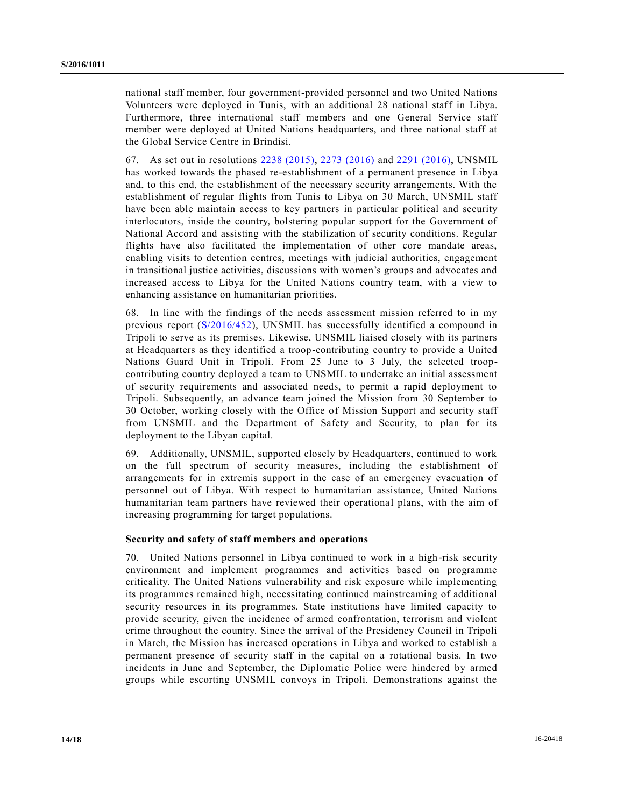national staff member, four government-provided personnel and two United Nations Volunteers were deployed in Tunis, with an additional 28 national staff in Libya. Furthermore, three international staff members and one General Service staff member were deployed at United Nations headquarters, and three national staff at the Global Service Centre in Brindisi.

67. As set out in resolutions [2238 \(2015\),](http://undocs.org/S/RES/2238(2015)) [2273 \(2016\)](http://undocs.org/S/RES/2273(2016)) and [2291 \(2016\),](http://undocs.org/S/RES/2291(2016)) UNSMIL has worked towards the phased re-establishment of a permanent presence in Libya and, to this end, the establishment of the necessary security arrangements. With the establishment of regular flights from Tunis to Libya on 30 March, UNSMIL staff have been able maintain access to key partners in particular political and security interlocutors, inside the country, bolstering popular support for the Government of National Accord and assisting with the stabilization of security conditions. Regular flights have also facilitated the implementation of other core mandate areas, enabling visits to detention centres, meetings with judicial authorities, engagement in transitional justice activities, discussions with women's groups and advocates and increased access to Libya for the United Nations country team, with a view to enhancing assistance on humanitarian priorities.

68. In line with the findings of the needs assessment mission referred to in my previous report [\(S/2016/452\)](http://undocs.org/S/2016/452), UNSMIL has successfully identified a compound in Tripoli to serve as its premises. Likewise, UNSMIL liaised closely with its partners at Headquarters as they identified a troop-contributing country to provide a United Nations Guard Unit in Tripoli. From 25 June to 3 July, the selected troopcontributing country deployed a team to UNSMIL to undertake an initial assessment of security requirements and associated needs, to permit a rapid deployment to Tripoli. Subsequently, an advance team joined the Mission from 30 September to 30 October, working closely with the Office of Mission Support and security staff from UNSMIL and the Department of Safety and Security, to plan for its deployment to the Libyan capital.

69. Additionally, UNSMIL, supported closely by Headquarters, continued to work on the full spectrum of security measures, including the establishment of arrangements for in extremis support in the case of an emergency evacuation of personnel out of Libya. With respect to humanitarian assistance, United Nations humanitarian team partners have reviewed their operational plans, with the aim of increasing programming for target populations.

#### **Security and safety of staff members and operations**

70. United Nations personnel in Libya continued to work in a high-risk security environment and implement programmes and activities based on programme criticality. The United Nations vulnerability and risk exposure while implementing its programmes remained high, necessitating continued mainstreaming of additional security resources in its programmes. State institutions have limited capacity to provide security, given the incidence of armed confrontation, terrorism and violent crime throughout the country. Since the arrival of the Presidency Council in Tripoli in March, the Mission has increased operations in Libya and worked to establish a permanent presence of security staff in the capital on a rotational basis. In two incidents in June and September, the Diplomatic Police were hindered by armed groups while escorting UNSMIL convoys in Tripoli. Demonstrations against the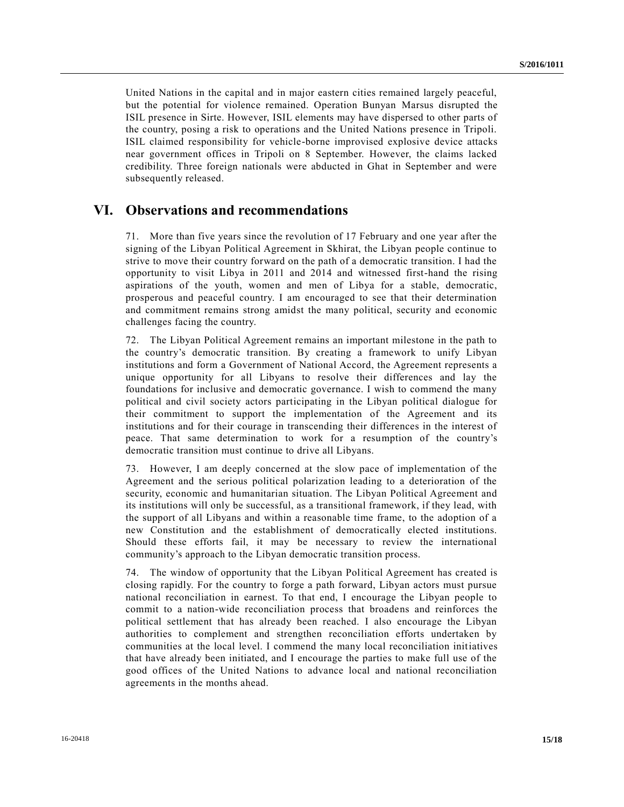United Nations in the capital and in major eastern cities remained largely peaceful, but the potential for violence remained. Operation Bunyan Marsus disrupted the ISIL presence in Sirte. However, ISIL elements may have dispersed to other parts of the country, posing a risk to operations and the United Nations presence in Tripoli. ISIL claimed responsibility for vehicle-borne improvised explosive device attacks near government offices in Tripoli on 8 September. However, the claims lacked credibility. Three foreign nationals were abducted in Ghat in September and were subsequently released.

## **VI. Observations and recommendations**

71. More than five years since the revolution of 17 February and one year after the signing of the Libyan Political Agreement in Skhirat, the Libyan people continue to strive to move their country forward on the path of a democratic transition. I had the opportunity to visit Libya in 2011 and 2014 and witnessed first-hand the rising aspirations of the youth, women and men of Libya for a stable, democratic, prosperous and peaceful country. I am encouraged to see that their determination and commitment remains strong amidst the many political, security and economic challenges facing the country.

72. The Libyan Political Agreement remains an important milestone in the path to the country's democratic transition. By creating a framework to unify Libyan institutions and form a Government of National Accord, the Agreement represents a unique opportunity for all Libyans to resolve their differences and lay the foundations for inclusive and democratic governance. I wish to commend the many political and civil society actors participating in the Libyan political dialogue for their commitment to support the implementation of the Agreement and its institutions and for their courage in transcending their differences in the interest of peace. That same determination to work for a resumption of the country's democratic transition must continue to drive all Libyans.

73. However, I am deeply concerned at the slow pace of implementation of the Agreement and the serious political polarization leading to a deterioration of the security, economic and humanitarian situation. The Libyan Political Agreement and its institutions will only be successful, as a transitional framework, if they lead, with the support of all Libyans and within a reasonable time frame, to the adoption of a new Constitution and the establishment of democratically elected institutions. Should these efforts fail, it may be necessary to review the international community's approach to the Libyan democratic transition process.

74. The window of opportunity that the Libyan Political Agreement has created is closing rapidly. For the country to forge a path forward, Libyan actors must pursue national reconciliation in earnest. To that end, I encourage the Libyan people to commit to a nation-wide reconciliation process that broadens and reinforces the political settlement that has already been reached. I also encourage the Libyan authorities to complement and strengthen reconciliation efforts undertaken by communities at the local level. I commend the many local reconciliation initiatives that have already been initiated, and I encourage the parties to make full use of the good offices of the United Nations to advance local and national reconciliation agreements in the months ahead.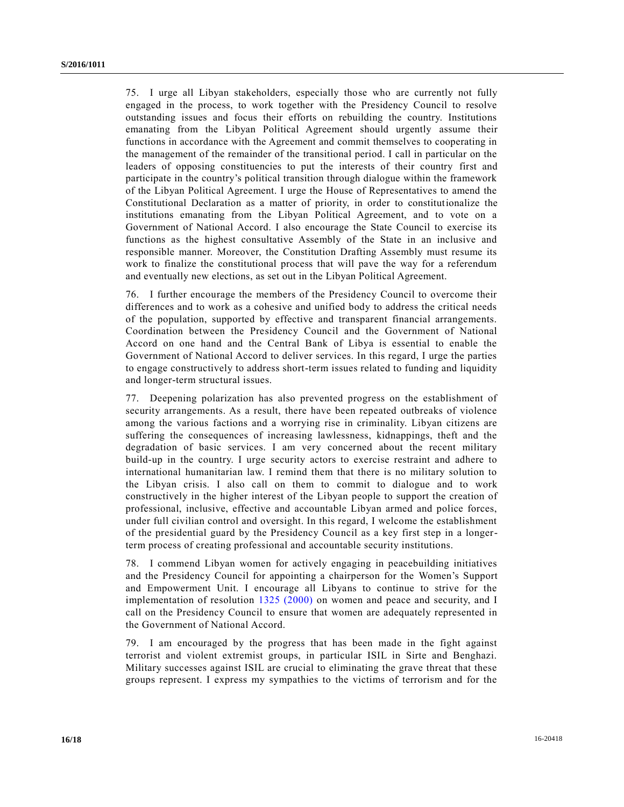75. I urge all Libyan stakeholders, especially those who are currently not fully engaged in the process, to work together with the Presidency Council to resolve outstanding issues and focus their efforts on rebuilding the country. Institutions emanating from the Libyan Political Agreement should urgently assume their functions in accordance with the Agreement and commit themselves to cooperating in the management of the remainder of the transitional period. I call in particular on the leaders of opposing constituencies to put the interests of their country first and participate in the country's political transition through dialogue within the framework of the Libyan Political Agreement. I urge the House of Representatives to amend the Constitutional Declaration as a matter of priority, in order to constitutionalize the institutions emanating from the Libyan Political Agreement, and to vote on a Government of National Accord. I also encourage the State Council to exercise its functions as the highest consultative Assembly of the State in an inclusive and responsible manner. Moreover, the Constitution Drafting Assembly must resume its work to finalize the constitutional process that will pave the way for a referendum and eventually new elections, as set out in the Libyan Political Agreement.

76. I further encourage the members of the Presidency Council to overcome their differences and to work as a cohesive and unified body to address the critical needs of the population, supported by effective and transparent financial arrangements. Coordination between the Presidency Council and the Government of National Accord on one hand and the Central Bank of Libya is essential to enable the Government of National Accord to deliver services. In this regard, I urge the parties to engage constructively to address short-term issues related to funding and liquidity and longer-term structural issues.

77. Deepening polarization has also prevented progress on the establishment of security arrangements. As a result, there have been repeated outbreaks of violence among the various factions and a worrying rise in criminality. Libyan citizens are suffering the consequences of increasing lawlessness, kidnappings, theft and the degradation of basic services. I am very concerned about the recent military build-up in the country. I urge security actors to exercise restraint and adhere to international humanitarian law. I remind them that there is no military solution to the Libyan crisis. I also call on them to commit to dialogue and to work constructively in the higher interest of the Libyan people to support the creation of professional, inclusive, effective and accountable Libyan armed and police forces, under full civilian control and oversight. In this regard, I welcome the establishment of the presidential guard by the Presidency Council as a key first step in a longerterm process of creating professional and accountable security institutions.

78. I commend Libyan women for actively engaging in peacebuilding initiatives and the Presidency Council for appointing a chairperson for the Women's Support and Empowerment Unit. I encourage all Libyans to continue to strive for the implementation of resolution [1325 \(2000\)](http://undocs.org/S/RES/1325(2000)) on women and peace and security, and I call on the Presidency Council to ensure that women are adequately represented in the Government of National Accord.

79. I am encouraged by the progress that has been made in the fight against terrorist and violent extremist groups, in particular ISIL in Sirte and Benghazi. Military successes against ISIL are crucial to eliminating the grave threat that these groups represent. I express my sympathies to the victims of terrorism and for the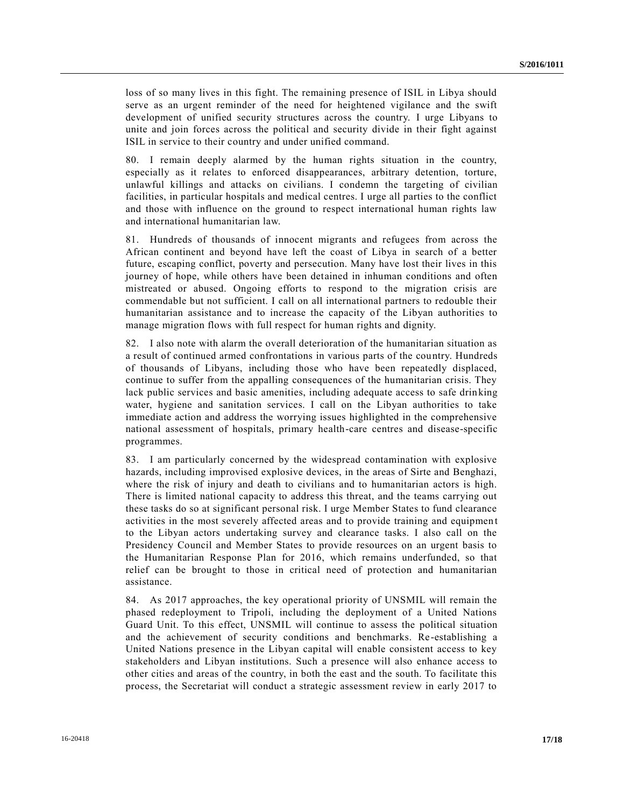loss of so many lives in this fight. The remaining presence of ISIL in Libya should serve as an urgent reminder of the need for heightened vigilance and the swift development of unified security structures across the country. I urge Libyans to unite and join forces across the political and security divide in their fight against ISIL in service to their country and under unified command.

80. I remain deeply alarmed by the human rights situation in the country, especially as it relates to enforced disappearances, arbitrary detention, torture, unlawful killings and attacks on civilians. I condemn the targeting of civilian facilities, in particular hospitals and medical centres. I urge all parties to the conflict and those with influence on the ground to respect international human rights law and international humanitarian law.

81. Hundreds of thousands of innocent migrants and refugees from across the African continent and beyond have left the coast of Libya in search of a better future, escaping conflict, poverty and persecution. Many have lost their lives in this journey of hope, while others have been detained in inhuman conditions and often mistreated or abused. Ongoing efforts to respond to the migration crisis are commendable but not sufficient. I call on all international partners to redouble their humanitarian assistance and to increase the capacity of the Libyan authorities to manage migration flows with full respect for human rights and dignity.

82. I also note with alarm the overall deterioration of the humanitarian situation as a result of continued armed confrontations in various parts of the country. Hundreds of thousands of Libyans, including those who have been repeatedly displaced, continue to suffer from the appalling consequences of the humanitarian crisis. They lack public services and basic amenities, including adequate access to safe drinking water, hygiene and sanitation services. I call on the Libyan authorities to take immediate action and address the worrying issues highlighted in the comprehensive national assessment of hospitals, primary health-care centres and disease-specific programmes.

83. I am particularly concerned by the widespread contamination with explosive hazards, including improvised explosive devices, in the areas of Sirte and Benghazi, where the risk of injury and death to civilians and to humanitarian actors is high. There is limited national capacity to address this threat, and the teams carrying out these tasks do so at significant personal risk. I urge Member States to fund clearance activities in the most severely affected areas and to provide training and equipmen t to the Libyan actors undertaking survey and clearance tasks. I also call on the Presidency Council and Member States to provide resources on an urgent basis to the Humanitarian Response Plan for 2016, which remains underfunded, so that relief can be brought to those in critical need of protection and humanitarian assistance.

84. As 2017 approaches, the key operational priority of UNSMIL will remain the phased redeployment to Tripoli, including the deployment of a United Nations Guard Unit. To this effect, UNSMIL will continue to assess the political situation and the achievement of security conditions and benchmarks. Re-establishing a United Nations presence in the Libyan capital will enable consistent access to key stakeholders and Libyan institutions. Such a presence will also enhance access to other cities and areas of the country, in both the east and the south. To facilitate this process, the Secretariat will conduct a strategic assessment review in early 2017 to